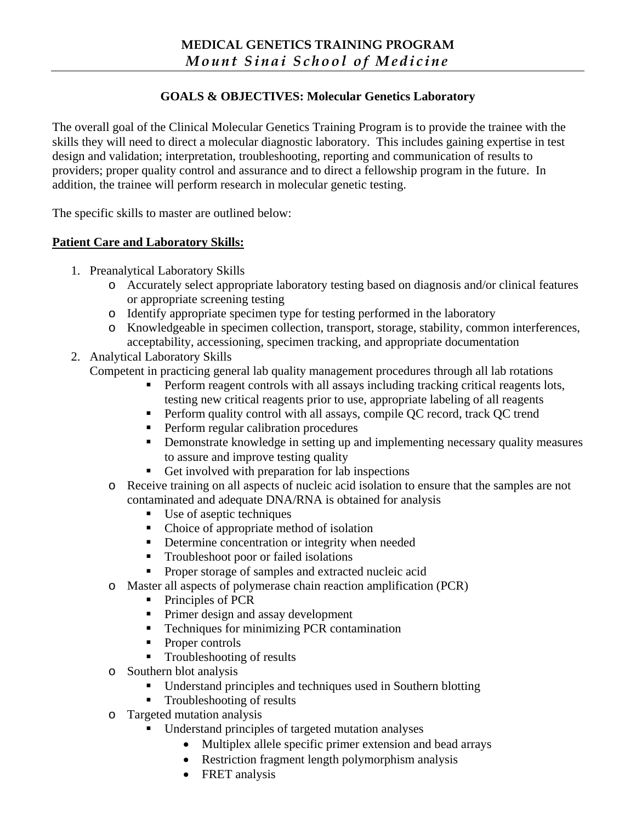# **GOALS & OBJECTIVES: Molecular Genetics Laboratory**

The overall goal of the Clinical Molecular Genetics Training Program is to provide the trainee with the skills they will need to direct a molecular diagnostic laboratory. This includes gaining expertise in test design and validation; interpretation, troubleshooting, reporting and communication of results to providers; proper quality control and assurance and to direct a fellowship program in the future. In addition, the trainee will perform research in molecular genetic testing.

The specific skills to master are outlined below:

#### **Patient Care and Laboratory Skills:**

- 1. Preanalytical Laboratory Skills
	- o Accurately select appropriate laboratory testing based on diagnosis and/or clinical features or appropriate screening testing
	- o Identify appropriate specimen type for testing performed in the laboratory
	- o Knowledgeable in specimen collection, transport, storage, stability, common interferences, acceptability, accessioning, specimen tracking, and appropriate documentation
- 2. Analytical Laboratory Skills

Competent in practicing general lab quality management procedures through all lab rotations

- **Perform reagent controls with all assays including tracking critical reagents lots,** testing new critical reagents prior to use, appropriate labeling of all reagents
- Perform quality control with all assays, compile QC record, track QC trend
- **Perform regular calibration procedures**
- **•** Demonstrate knowledge in setting up and implementing necessary quality measures to assure and improve testing quality
- Get involved with preparation for lab inspections
- o Receive training on all aspects of nucleic acid isolation to ensure that the samples are not contaminated and adequate DNA/RNA is obtained for analysis
	- Use of aseptic techniques
	- Choice of appropriate method of isolation
	- Determine concentration or integrity when needed
	- Troubleshoot poor or failed isolations
	- **Proper storage of samples and extracted nucleic acid**
- o Master all aspects of polymerase chain reaction amplification (PCR)
	- Principles of PCR
	- Primer design and assay development
	- Techniques for minimizing PCR contamination
	- Proper controls
	- **Troubleshooting of results**
- o Southern blot analysis
	- Understand principles and techniques used in Southern blotting
	- Troubleshooting of results
- o Targeted mutation analysis
	- Understand principles of targeted mutation analyses
		- Multiplex allele specific primer extension and bead arrays
		- Restriction fragment length polymorphism analysis
		- FRET analysis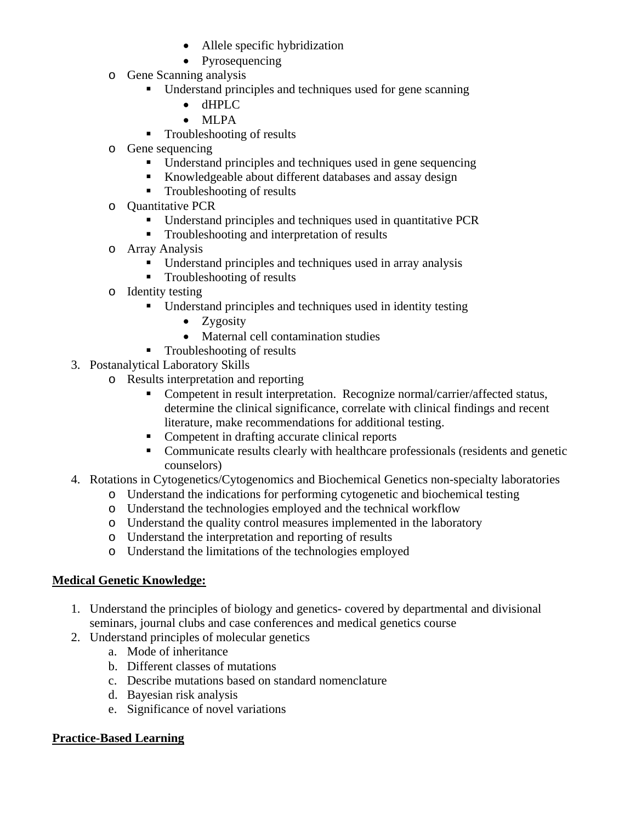- Allele specific hybridization
- Pyrosequencing
- o Gene Scanning analysis
	- Understand principles and techniques used for gene scanning
		- dHPLC
		- MLPA
	- **Troubleshooting of results**
- o Gene sequencing
	- Understand principles and techniques used in gene sequencing
	- Knowledgeable about different databases and assay design
	- Troubleshooting of results
- o Quantitative PCR
	- Understand principles and techniques used in quantitative PCR
	- Troubleshooting and interpretation of results
- o Array Analysis
	- Understand principles and techniques used in array analysis
	- **Troubleshooting of results**
- o Identity testing
	- Understand principles and techniques used in identity testing
		- Zygosity
		- Maternal cell contamination studies
	- Troubleshooting of results
- 3. Postanalytical Laboratory Skills
	- o Results interpretation and reporting
		- **Competent in result interpretation. Recognize normal/carrier/affected status,** determine the clinical significance, correlate with clinical findings and recent literature, make recommendations for additional testing.
		- Competent in drafting accurate clinical reports
		- Communicate results clearly with healthcare professionals (residents and genetic counselors)
- 4. Rotations in Cytogenetics/Cytogenomics and Biochemical Genetics non-specialty laboratories
	- o Understand the indications for performing cytogenetic and biochemical testing
	- o Understand the technologies employed and the technical workflow
	- o Understand the quality control measures implemented in the laboratory
	- o Understand the interpretation and reporting of results
	- o Understand the limitations of the technologies employed

# **Medical Genetic Knowledge:**

- 1. Understand the principles of biology and genetics- covered by departmental and divisional seminars, journal clubs and case conferences and medical genetics course
- 2. Understand principles of molecular genetics
	- a. Mode of inheritance
	- b. Different classes of mutations
	- c. Describe mutations based on standard nomenclature
	- d. Bayesian risk analysis
	- e. Significance of novel variations

#### **Practice-Based Learning**